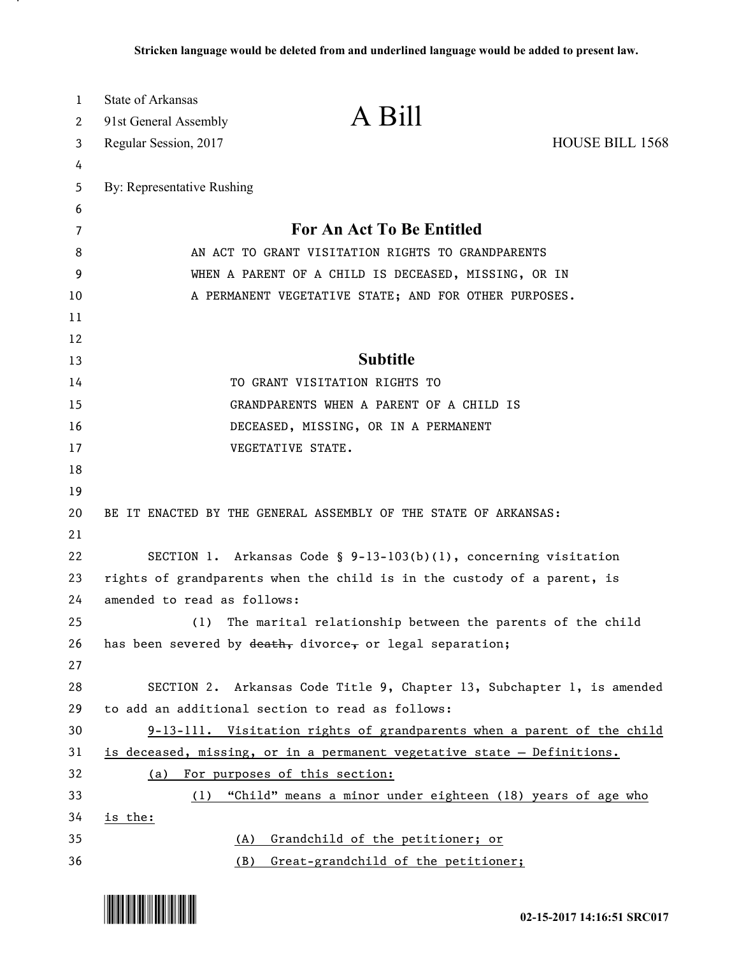| 1        | <b>State of Arkansas</b>                             |                                                                         |                 |
|----------|------------------------------------------------------|-------------------------------------------------------------------------|-----------------|
| 2        | 91st General Assembly                                | A Bill                                                                  |                 |
| 3        | Regular Session, 2017                                |                                                                         | HOUSE BILL 1568 |
| 4        |                                                      |                                                                         |                 |
| 5        | By: Representative Rushing                           |                                                                         |                 |
| 6        |                                                      |                                                                         |                 |
| 7        | For An Act To Be Entitled                            |                                                                         |                 |
| 8        | AN ACT TO GRANT VISITATION RIGHTS TO GRANDPARENTS    |                                                                         |                 |
| 9        | WHEN A PARENT OF A CHILD IS DECEASED, MISSING, OR IN |                                                                         |                 |
| 10       |                                                      | A PERMANENT VEGETATIVE STATE; AND FOR OTHER PURPOSES.                   |                 |
| 11       |                                                      |                                                                         |                 |
| 12       |                                                      |                                                                         |                 |
| 13       |                                                      | <b>Subtitle</b>                                                         |                 |
| 14       |                                                      | TO GRANT VISITATION RIGHTS TO                                           |                 |
| 15       |                                                      | GRANDPARENTS WHEN A PARENT OF A CHILD IS                                |                 |
| 16       |                                                      | DECEASED, MISSING, OR IN A PERMANENT                                    |                 |
| 17       |                                                      | VEGETATIVE STATE.                                                       |                 |
| 18<br>19 |                                                      |                                                                         |                 |
| 20       |                                                      | BE IT ENACTED BY THE GENERAL ASSEMBLY OF THE STATE OF ARKANSAS:         |                 |
| 21       |                                                      |                                                                         |                 |
| 22       |                                                      | SECTION 1. Arkansas Code § 9-13-103(b)(1), concerning visitation        |                 |
| 23       |                                                      | rights of grandparents when the child is in the custody of a parent, is |                 |
| 24       | amended to read as follows:                          |                                                                         |                 |
| 25       | (1)                                                  | The marital relationship between the parents of the child               |                 |
| 26       |                                                      | has been severed by death, divorce, or legal separation;                |                 |
| 27       |                                                      |                                                                         |                 |
| 28       |                                                      | SECTION 2. Arkansas Code Title 9, Chapter 13, Subchapter 1, is amended  |                 |
| 29       |                                                      | to add an additional section to read as follows:                        |                 |
| 30       |                                                      | 9-13-111. Visitation rights of grandparents when a parent of the child  |                 |
| 31       |                                                      | is deceased, missing, or in a permanent vegetative state - Definitions. |                 |
| 32       | (a)                                                  | For purposes of this section:                                           |                 |
| 33       | (1)                                                  | "Child" means a minor under eighteen (18) years of age who              |                 |
| 34       | is the:                                              |                                                                         |                 |
| 35       | (A)                                                  | Grandchild of the petitioner; or                                        |                 |
| 36       | (B)                                                  | Great-grandchild of the petitioner;                                     |                 |



.